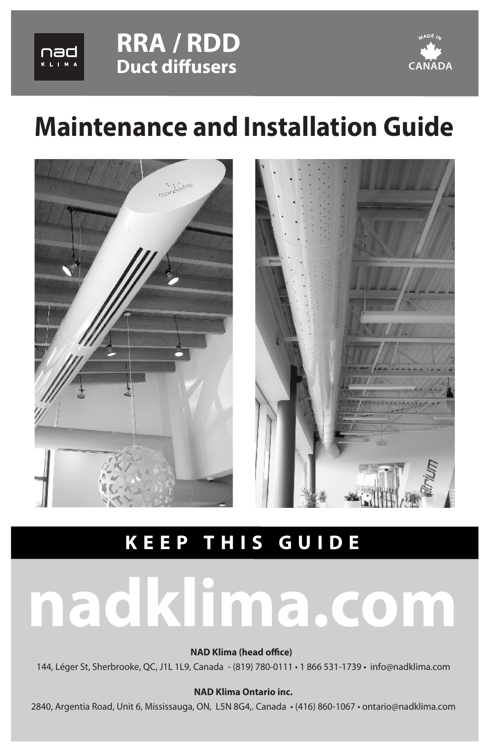





# **Maintenance and Installation Guide**



## **KEEP THIS GUIDE**

# **nadklima.com**

**NAD Klima (head office)** 

144, Léger St, Sherbrooke, QC, J1L 1L9, Canada - (819) 780-0111 • 1 866 531-1739 • info@nadklima.com

#### **NAD Klima Ontario inc.**

2840, Argentia Road, Unit 6, Mississauga, ON, L5N 8G4,. Canada • (416) 860-1067 • ontario@nadklima.com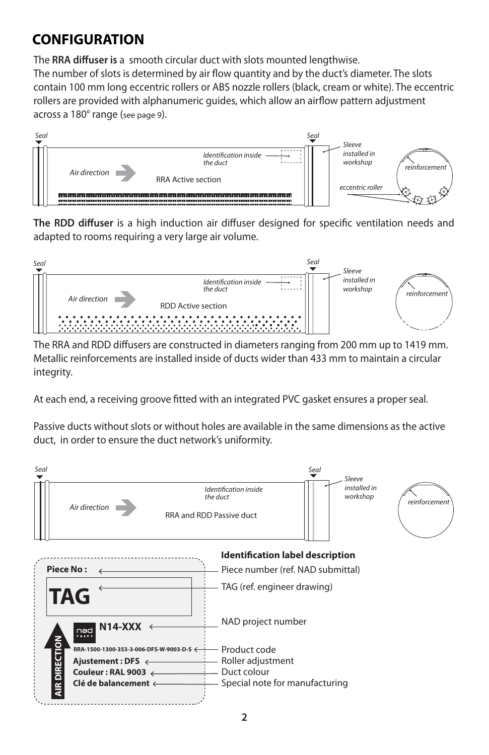## **CONFIGURATION**

The RRA diffuser is a smooth circular duct with slots mounted lengthwise. The number of slots is determined by air flow quantity and by the duct's diameter. The slots contain 100 mm long eccentric rollers or ABS nozzle rollers (black, cream or white). The eccentric rollers are provided with alphanumeric quides, which allow an airflow pattern adjustment across a 180° range (see page 9).



The RDD diffuser is a high induction air diffuser designed for specific ventilation needs and adapted to rooms requiring a very large air volume.



The RRA and RDD diffusers are constructed in diameters ranging from 200 mm up to 1419 mm. Metallic reinforcements are installed inside of ducts wider than 433 mm to maintain a circular integrity. 

At each end, a receiving groove fitted with an integrated PVC gasket ensures a proper seal.

Passive ducts without slots or without holes are available in the same dimensions as the active duct, in order to ensure the duct network's uniformity.

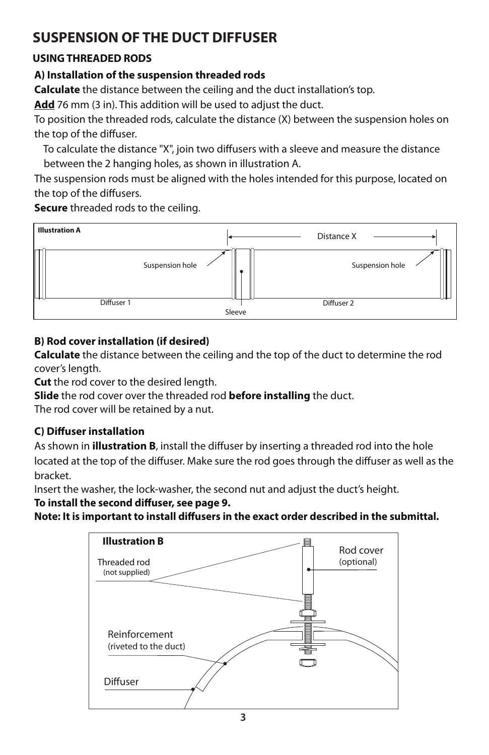#### **USING THREADED RODS**

#### **A) Installation of the suspension threaded rods**

**Calculate** the distance between the ceiling and the duct installation's top.

**Add** 76 mm (3 in). This addition will be used to adjust the duct.

To position the threaded rods, calculate the distance (X) between the suspension holes on the top of the diffuser.

To calculate the distance "X", join two diffusers with a sleeve and measure the distance between the 2 hanging holes, as shown in illustration A.

The suspension rods must be aligned with the holes intended for this purpose, located on the top of the diffusers.

**Secure** threaded rods to the ceiling.



#### **B) Rod cover installation (if desired)**

**Calculate** the distance between the ceiling and the top of the duct to determine the rod cover's length.

**Cut** the rod cover to the desired length.

**Slide** the rod cover over the threaded rod **before installing** the duct.

The rod cover will be retained by a nut.

#### **C)** Diffuser installation

As shown in **illustration B**, install the diffuser by inserting a threaded rod into the hole located at the top of the diffuser. Make sure the rod goes through the diffuser as well as the bracket.

Insert the washer, the lock-washer, the second nut and adjust the duct's height.

To install the second diffuser, see page 9.

Note: It is important to install diffusers in the exact order described in the submittal.

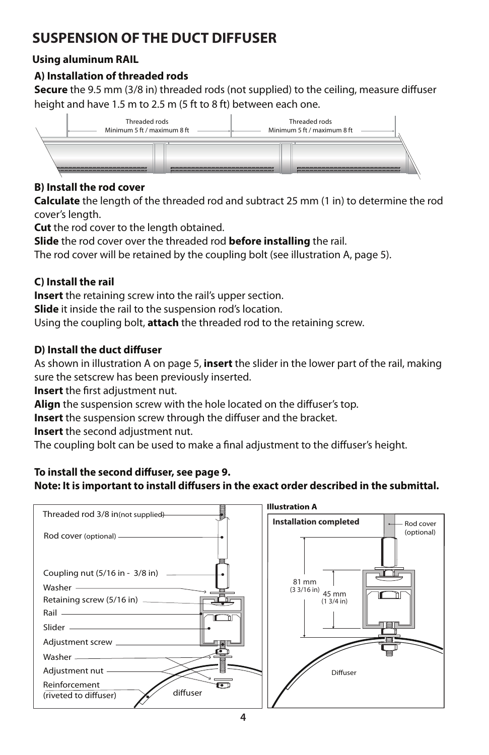#### **Using aluminum RAIL**

#### **A) Installation of threaded rods**

**Secure** the 9.5 mm (3/8 in) threaded rods (not supplied) to the ceiling, measure diffuser height and have 1.5 m to 2.5 m (5 ft to 8 ft) between each one.



#### **B) Install the rod cover**

**Calculate** the length of the threaded rod and subtract 25 mm (1 in) to determine the rod cover's length.

**Cut** the rod cover to the length obtained.

**Slide** the rod cover over the threaded rod **before installing** the rail.

The rod cover will be retained by the coupling bolt (see illustration A, page 5).

#### **C) Install the rail**

**Insert** the retaining screw into the rail's upper section.

**Slide** it inside the rail to the suspension rod's location.

Using the coupling bolt, **attach** the threaded rod to the retaining screw.

#### **D) Install the duct diffuser**

As shown in illustration A on page 5, **insert** the slider in the lower part of the rail, making sure the setscrew has been previously inserted.

**Insert** the first adjustment nut.

Align the suspension screw with the hole located on the diffuser's top.

**Insert** the suspension screw through the diffuser and the bracket.

**Insert** the second adjustment nut.

The coupling bolt can be used to make a final adjustment to the diffuser's height.

#### To install the second diffuser, see page 9.

#### Note: It is important to install diffusers in the exact order described in the submittal.

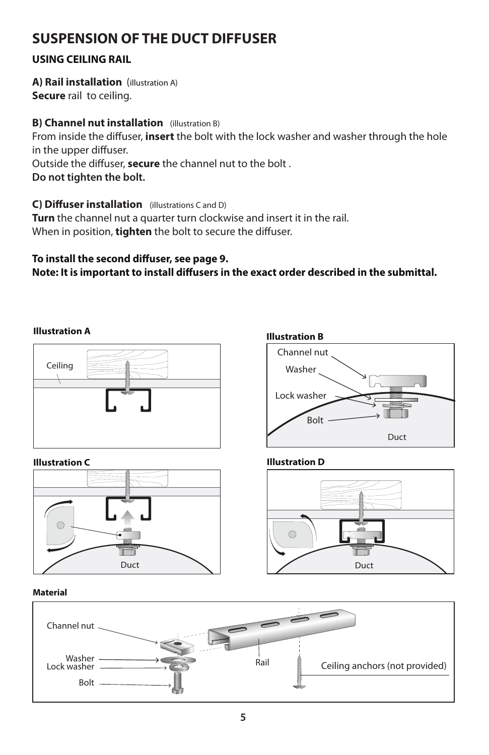#### **USING CEILING RAIL**

**A) Rail installation** (illustration A) **Secure** rail to ceiling.

#### **B) Channel nut installation** (illustration B)

From inside the diffuser, **insert** the bolt with the lock washer and washer through the hole in the upper diffuser.

Outside the diffuser, **secure** the channel nut to the bolt.

**Do not tighten the bolt.**

**C) Diffuser installation** (illustrations C and D)

**Turn** the channel nut a quarter turn clockwise and insert it in the rail. When in position, **tighten** the bolt to secure the diffuser.

#### To install the second diffuser, see page 9. Note: It is important to install diffusers in the exact order described in the submittal.

#### **Illustration A**





#### **Illustration A Illustration B**



#### **Illustration C Illustration D**



#### **Material**

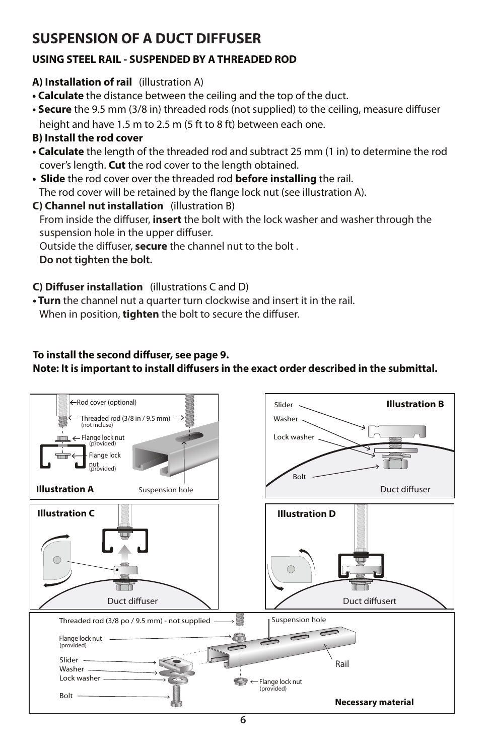#### **USING STEEL RAIL - SUSPENDED BY A THREADED ROD**

#### **A) Installation of rail** (illustration A)

- **Calculate** the distance between the ceiling and the top of the duct.
- Secure the 9.5 mm (3/8 in) threaded rods (not supplied) to the ceiling, measure diffuser height and have 1.5 m to 2.5 m (5 ft to 8 ft) between each one.

#### **B) Install the rod cover**

- **Calculate** the length of the threaded rod and subtract 25 mm (1 in) to determine the rod cover's length. **Cut** the rod cover to the length obtained.
- **Slide** the rod cover over the threaded rod **before installing** the rail. The rod cover will be retained by the flange lock nut (see illustration A).

#### **C) Channel nut installation** (illustration B)

From inside the diffuser, **insert** the bolt with the lock washer and washer through the suspension hole in the upper diffuser.

Outside the diffuser, **secure** the channel nut to the bolt.

 **Do not tighten the bolt.**

#### **C) Diffuser installation** (illustrations C and D)

**• Turn** the channel nut a quarter turn clockwise and insert it in the rail. When in position, **tighten** the bolt to secure the diffuser.

#### To install the second diffuser, see page 9.

#### Note: It is important to install diffusers in the exact order described in the submittal.

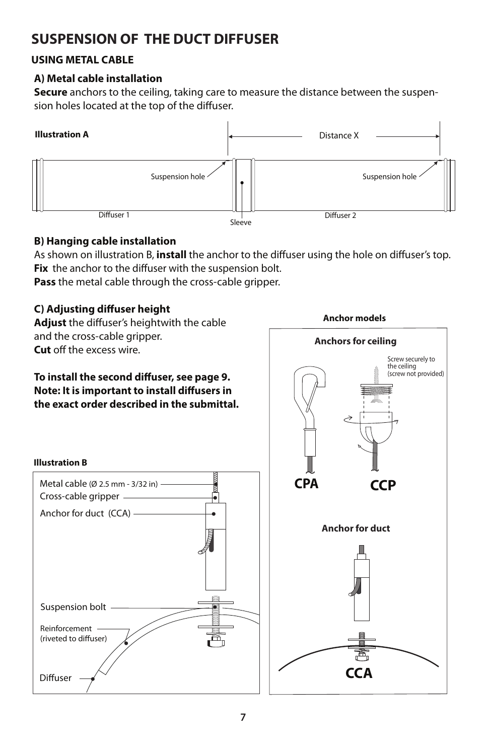#### **USING METAL CABLE**

#### **A) Metal cable installation**

**Secure** anchors to the ceiling, taking care to measure the distance between the suspension holes located at the top of the diffuser.



#### **B) Hanging cable installation**

As shown on illustration B, install the anchor to the diffuser using the hole on diffuser's top. Fix the anchor to the diffuser with the suspension bolt. **Pass** the metal cable through the cross-cable gripper.

#### **C) Adjusting diffuser height**

Cross-cable gripper

Anchor for duct (CCA)

Metal cable (Ø 2.5 mm - 3/32 in)

ا<br>م

I

**Illustration B**

Reinforcement (riveted to diffuser)

Diffuser

Suspension bolt

•

Adjust the diffuser's heightwith the cable and the cross-cable gripper. **Cut** off the excess wire.

#### To install the second diffuser, see page 9. **Note: It is important to install diffusers in the exact order described in the submittal.**



**Anchor models**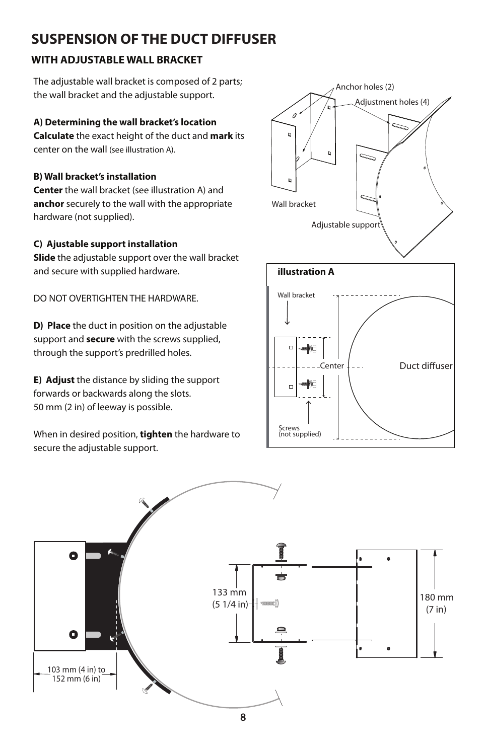#### **WITH ADJUSTABLE WALL BRACKET**

The adjustable wall bracket is composed of 2 parts; the wall bracket and the adjustable support.

#### **A) Determining the wall bracket's location**

**Calculate** the exact height of the duct and **mark** its center on the wall (see illustration A).

#### **B) Wall bracket's installation**

**Center** the wall bracket (see illustration A) and **anchor** securely to the wall with the appropriate hardware (not supplied).

#### **C) Ajustable support installation**

**Slide** the adjustable support over the wall bracket and secure with supplied hardware.

DO NOT OVERTIGHTEN THE HARDWARE.

**D) Place** the duct in position on the adjustable support and **secure** with the screws supplied, through the support's predrilled holes.

**E) Adjust** the distance by sliding the support forwards or backwards along the slots. 50 mm (2 in) of leeway is possible.

When in desired position, **tighten** the hardware to secure the adjustable support.





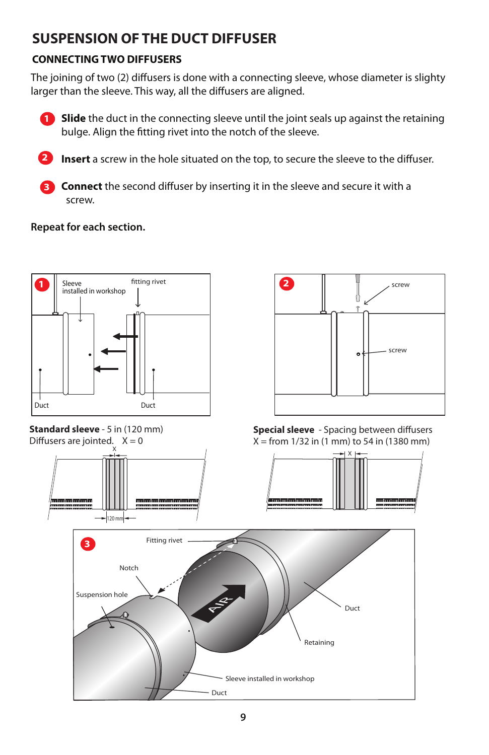### **CONNECTING TWO DIFFUSERS**

The joining of two (2) diffusers is done with a connecting sleeve, whose diameter is slighty larger than the sleeve. This way, all the diffusers are aligned.





**Insert** a screw in the hole situated on the top, to secure the sleeve to the diffuser.

**Connect** the second diffuser by inserting it in the sleeve and secure it with a screw.

#### **Repeat for each section.**

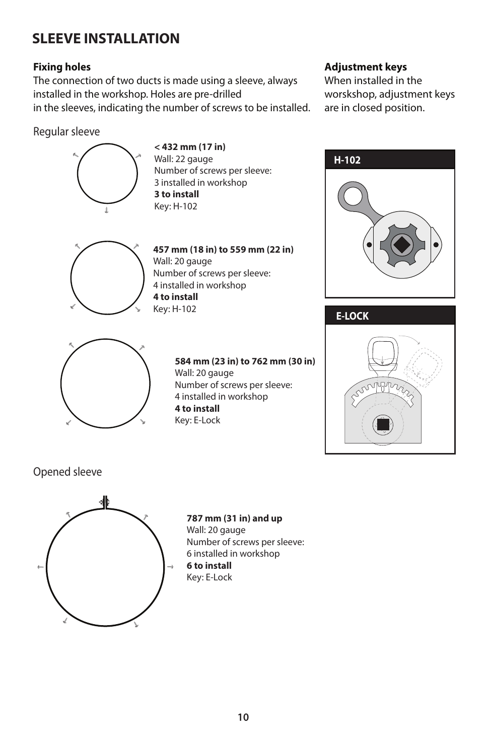## **SLEEVE INSTALLATION**

#### **Fixing holes**

The connection of two ducts is made using a sleeve, always installed in the workshop. Holes are pre-drilled in the sleeves, indicating the number of screws to be installed.

#### Regular sleeve



**< 432 mm (17 in)** Wall: 22 gauge Number of screws per sleeve: 3 installed in workshop **3 to install** Key: H-102



**457 mm (18 in) to 559 mm (22 in)** Wall: 20 gauge Number of screws per sleeve: 4 installed in workshop **4 to install** Key: H-102



**584 mm (23 in) to 762 mm (30 in)**  Wall: 20 gauge Number of screws per sleeve: 4 installed in workshop **4 to install** Key: E-Lock

#### **Adjustment keys**

When installed in the worskshop, adjustment keys are in closed position.





Opened sleeve



**787 mm (31 in) and up**  Wall: 20 gauge Number of screws per sleeve: 6 installed in workshop **6 to install** Key: E-Lock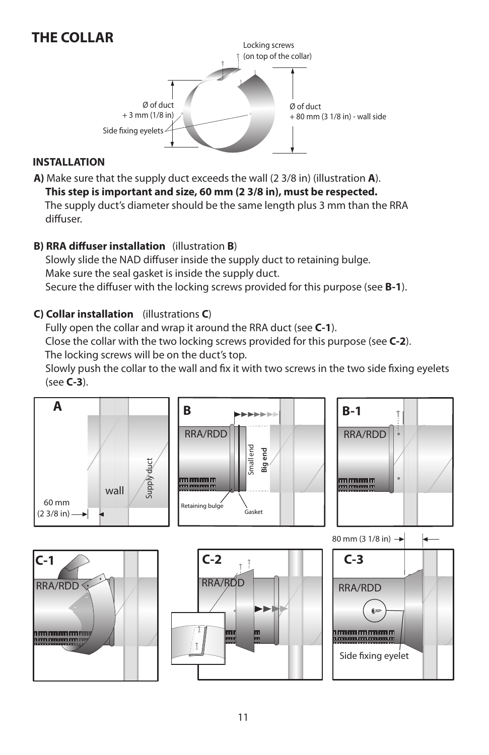## **THE COLLAR**



#### **INSTALLATION**

**A)** Make sure that the supply duct exceeds the wall (2 3/8 in) (illustration **A**).

 **This step is important and size, 60 mm (2 3/8 in), must be respected.**  The supply duct's diameter should be the same length plus 3 mm than the RRA

diffuser.

#### **B) RRA diffuser installation** (illustration **B**)

Slowly slide the NAD diffuser inside the supply duct to retaining bulge. Make sure the seal gasket is inside the supply duct. Secure the diffuser with the locking screws provided for this purpose (see **B-1**).

#### **C) Collar installation** (illustrations **C**)

 Fully open the collar and wrap it around the RRA duct (see **C-1**). Close the collar with the two locking screws provided for this purpose (see **C-2**). The locking screws will be on the duct's top.

Slowly push the collar to the wall and fix it with two screws in the two side fixing eyelets (see **C-3**).

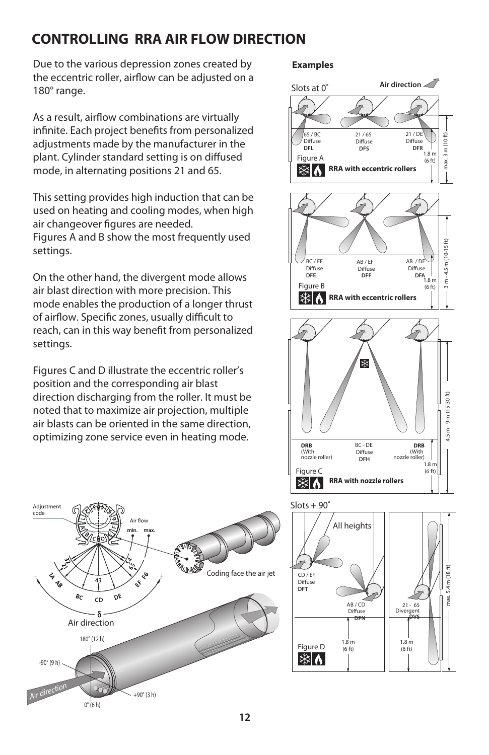## **CONTROLLING RRA AIR FLOW DIRECTION**

Due to the various depression zones created by the eccentric roller, airflow can be adjusted on a 180° range.

As a result, airflow combinations are virtually infinite. Each project benefits from personalized adjustments made by the manufacturer in the plant. Cylinder standard setting is on diffused mode, in alternating positions 21 and 65.

This setting provides high induction that can be used on heating and cooling modes, when high air changeover figures are needed. Figures A and B show the most frequently used settings.

On the other hand, the divergent mode allows air blast direction with more precision. This mode enables the production of a longer thrust of airflow. Specific zones, usually difficult to reach, can in this way benefit from personalized settings.

Figures C and D illustrate the eccentric roller's position and the corresponding air blast direction discharging from the roller. It must be noted that to maximize air projection, multiple air blasts can be oriented in the same direction, optimizing zone service even in heating mode.



#### **Examples**





 $(6 ft)$ 



**RRA with nozzle rollers**

Figure C

▓∧